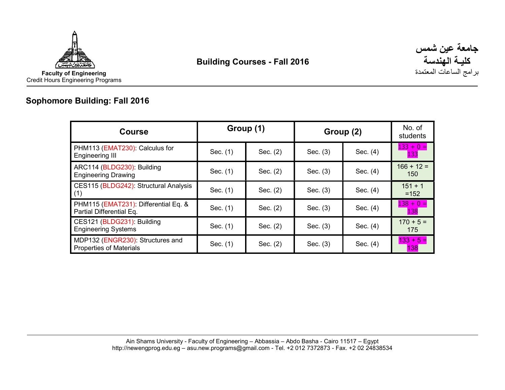



# Sophomore Building: Fall 2016

| <b>Course</b>                                                      |          | Group (1)  | Group (2)  | No. of<br>students |                           |
|--------------------------------------------------------------------|----------|------------|------------|--------------------|---------------------------|
| PHM113 (EMAT230): Calculus for<br><b>Engineering III</b>           | Sec. (1) | Sec. (2)   | Sec. $(3)$ | Sec. (4)           | $133 + 0 =$<br><b>133</b> |
| ARC114 (BLDG230): Building<br><b>Engineering Drawing</b>           | Sec. (1) | Sec. (2)   | Sec. (3)   | Sec. (4)           | $166 + 12 =$<br>150       |
| CES115 (BLDG242): Structural Analysis<br>(1)                       | Sec. (1) | Sec. (2)   | Sec. $(3)$ | Sec. (4)           | $151 + 1$<br>$=152$       |
| PHM115 (EMAT231): Differential Eq. &<br>Partial Differential Eq.   | Sec. (1) | Sec. $(2)$ | Sec. $(3)$ | Sec. (4)           | $138 + 0 =$<br><b>138</b> |
| CES121 (BLDG231): Building<br><b>Engineering Systems</b>           | Sec. (1) | Sec. $(2)$ | Sec. $(3)$ | Sec. (4)           | $170 + 5 =$<br>175        |
| MDP132 (ENGR230): Structures and<br><b>Properties of Materials</b> | Sec. (1) | Sec. $(2)$ | Sec. $(3)$ | Sec. (4)           | $133 + 5 =$<br>138        |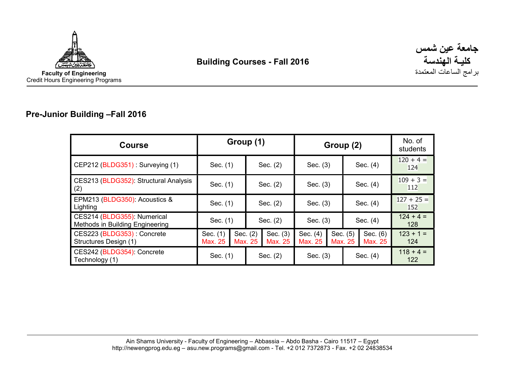



### Pre-Junior Building –Fall 2016

| <b>Course</b>                                                  | Group (1)           |          |            | Group (2)           |                     |  |                     | No. of<br>students  |                     |
|----------------------------------------------------------------|---------------------|----------|------------|---------------------|---------------------|--|---------------------|---------------------|---------------------|
| CEP212 (BLDG351): Surveying (1)                                | Sec. (1)            |          | Sec. (2)   |                     | Sec. $(3)$          |  | Sec. (4)            |                     | $120 + 4 =$<br>124  |
| CES213 (BLDG352): Structural Analysis<br>(2)                   | Sec. (1)            |          | Sec. $(2)$ |                     | Sec. $(3)$          |  | Sec. (4)            |                     | $109 + 3 =$<br>112  |
| EPM213 (BLDG350): Acoustics &<br>Lighting                      | Sec. (1)            |          | Sec. $(2)$ |                     | Sec. $(3)$          |  | Sec. (4)            |                     | $127 + 25 =$<br>152 |
| CES214 (BLDG355): Numerical<br>Methods in Building Engineering | Sec. (1)            |          | Sec. (2)   |                     | Sec. $(3)$          |  | Sec. $(4)$          |                     | $124 + 4 =$<br>128  |
| CES223 (BLDG353): Concrete<br>Structures Design (1)            | Sec. (1)<br>Max. 25 | Sec. (2) | Max. 25    | Sec. (3)<br>Max. 25 | Sec. (4)<br>Max. 25 |  | Sec. (5)<br>Max. 25 | Sec. (6)<br>Max. 25 | $123 + 1 =$<br>124  |
| CES242 (BLDG354): Concrete<br>Technology (1)                   | Sec. (1)            |          | Sec. $(2)$ |                     | Sec. $(3)$          |  | Sec. (4)            |                     | $118 + 4 =$<br>122  |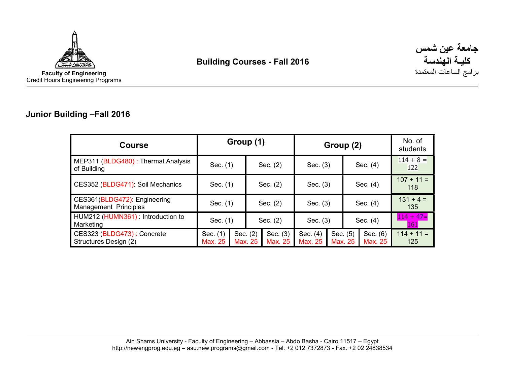



#### Junior Building –Fall 2016

| <b>Course</b>                                                | Group (1)           |                     |            | Group (2)           |                     |  |                     | No. of<br>students  |                           |
|--------------------------------------------------------------|---------------------|---------------------|------------|---------------------|---------------------|--|---------------------|---------------------|---------------------------|
| MEP311 (BLDG480): Thermal Analysis<br>of Building            | Sec. (1)            |                     |            | Sec. $(2)$          | Sec. $(3)$          |  |                     | Sec. (4)            | $114 + 8 =$<br>122        |
| CES352 (BLDG471): Soil Mechanics                             | Sec. (1)            |                     | Sec. $(2)$ |                     | Sec. $(3)$          |  | Sec. (4)            |                     | $107 + 11 =$<br>118       |
| CES361(BLDG472): Engineering<br><b>Management Principles</b> | Sec. (1)            |                     | Sec. $(2)$ |                     | Sec. $(3)$          |  | Sec. $(4)$          |                     | $131 + 4 =$<br>135        |
| HUM212 (HUMN361): Introduction to<br>Marketing               | Sec. (1)            |                     | Sec. $(2)$ |                     | Sec. (3)            |  | Sec. (4)            |                     | $114 + 47=$<br><b>161</b> |
| CES323 (BLDG473): Concrete<br>Structures Design (2)          | Sec. (1)<br>Max. 25 | Sec. (2)<br>Max. 25 |            | Sec. (3)<br>Max. 25 | Sec. (4)<br>Max. 25 |  | Sec. (5)<br>Max. 25 | Sec. (6)<br>Max. 25 | $114 + 11 =$<br>125       |